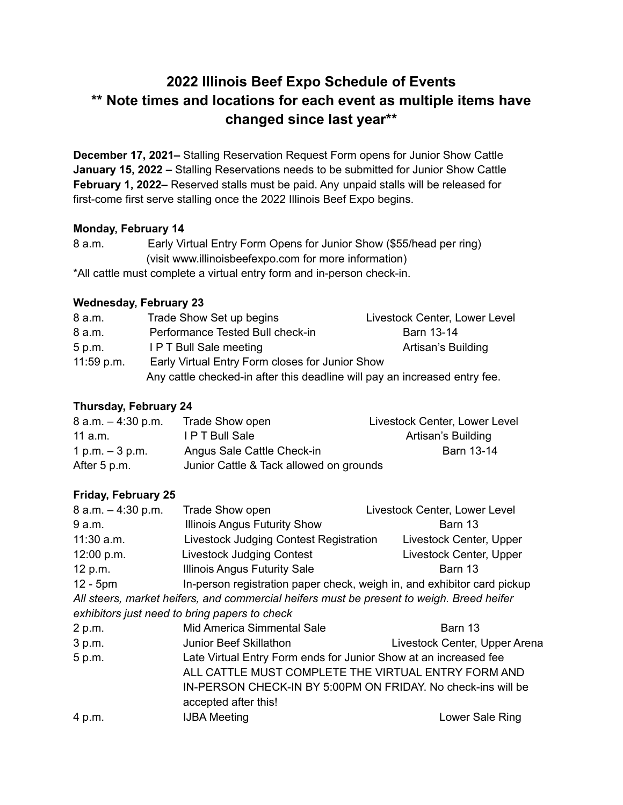# **2022 Illinois Beef Expo Schedule of Events \*\* Note times and locations for each event as multiple items have changed since last year\*\***

**December 17, 2021–** Stalling Reservation Request Form opens for Junior Show Cattle **January 15, 2022 –** Stalling Reservations needs to be submitted for Junior Show Cattle **February 1, 2022–** Reserved stalls must be paid. Any unpaid stalls will be released for first-come first serve stalling once the 2022 Illinois Beef Expo begins.

## **Monday, February 14**

| 8 a.m. | Early Virtual Entry Form Opens for Junior Show (\$55/head per ring) |
|--------|---------------------------------------------------------------------|
|        | (visit www.illinoisbeefexpo.com for more information)               |

\*All cattle must complete a virtual entry form and in-person check-in.

## **Wednesday, February 23**

| 8 a.m.       | Trade Show Set up begins                                                   | Livestock Center, Lower Level |
|--------------|----------------------------------------------------------------------------|-------------------------------|
| 8 a.m.       | Performance Tested Bull check-in                                           | Barn 13-14                    |
| 5 p.m.       | <b>IPT Bull Sale meeting</b>                                               | Artisan's Building            |
| $11:59$ p.m. | Early Virtual Entry Form closes for Junior Show                            |                               |
|              | Any cattle checked-in after this deadline will pay an increased entry fee. |                               |

# **Thursday, February 24**

| $8$ a.m. $-$ 4:30 p.m. | Trade Show open                         | Livestock Center, Lower Level |
|------------------------|-----------------------------------------|-------------------------------|
| 11 a.m.                | I P T Bull Sale                         | Artisan's Building            |
| 1 p.m. $-3$ p.m.       | Angus Sale Cattle Check-in              | Barn 13-14                    |
| After 5 p.m.           | Junior Cattle & Tack allowed on grounds |                               |

# **Friday, February 25**

| 8 a.m. - 4:30 p.m. | <b>Trade Show open</b>                                                                    | Livestock Center, Lower Level |  |
|--------------------|-------------------------------------------------------------------------------------------|-------------------------------|--|
| 9 a.m.             | <b>Illinois Angus Futurity Show</b>                                                       | Barn 13                       |  |
| $11:30$ a.m.       | Livestock Judging Contest Registration                                                    | Livestock Center, Upper       |  |
| 12:00 p.m.         | <b>Livestock Judging Contest</b>                                                          | Livestock Center, Upper       |  |
| 12 p.m.            | <b>Illinois Angus Futurity Sale</b>                                                       | Barn 13                       |  |
| $12 - 5pm$         | In-person registration paper check, weigh in, and exhibitor card pickup                   |                               |  |
|                    | All steers, market heifers, and commercial heifers must be present to weigh. Breed heifer |                               |  |
|                    | exhibitors just need to bring papers to check                                             |                               |  |
| 2 p.m.             | Mid America Simmental Sale                                                                | Barn 13                       |  |
| 3 p.m.             | Junior Beef Skillathon                                                                    | Livestock Center, Upper Arena |  |
| 5 p.m.             | Late Virtual Entry Form ends for Junior Show at an increased fee                          |                               |  |
|                    | ALL CATTLE MUST COMPLETE THE VIRTUAL ENTRY FORM AND                                       |                               |  |

IN-PERSON CHECK-IN BY 5:00PM ON FRIDAY. No check-ins will be

|        | accepted after this! |                 |
|--------|----------------------|-----------------|
| 4 p.m. | <b>IJBA</b> Meeting  | Lower Sale Ring |